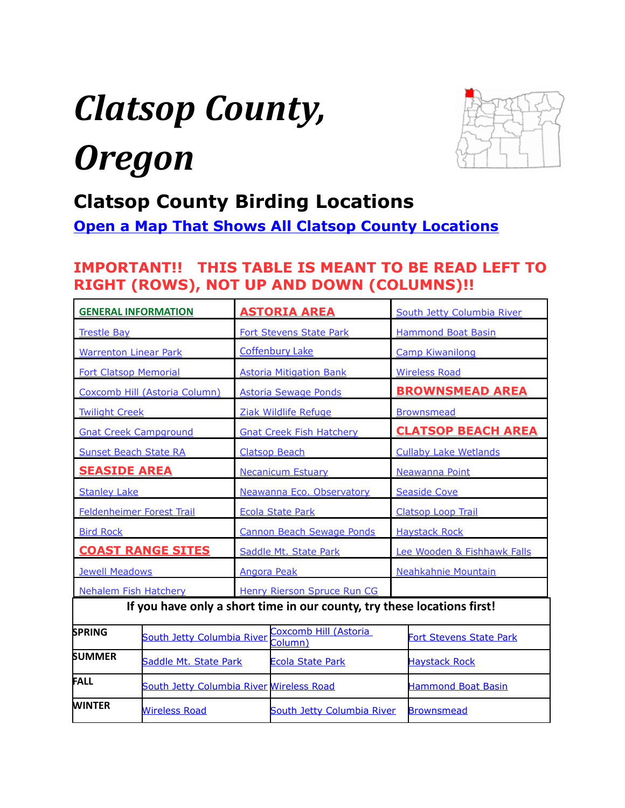# <span id="page-0-0"></span>*Clatsop County, Oregon*



# **Clatsop County Birding Locations**

**[Open a Map That Shows All Clatsop County Locations](https://www.google.com/maps/d/edit?mid=zVl1oTDALjf4.kItCOFOoD7eE&usp=sharing)**

# **IMPORTANT!! THIS TABLE IS MEANT TO BE READ LEFT TO RIGHT (ROWS), NOT UP AND DOWN (COLUMNS)!!**

| <b>GENERAL INFORMATION</b>                                              |  | <b>ASTORIA AREA</b>               |                                  | South Jetty Columbia River |                                |  |
|-------------------------------------------------------------------------|--|-----------------------------------|----------------------------------|----------------------------|--------------------------------|--|
| <b>Trestle Bay</b>                                                      |  | <b>Fort Stevens State Park</b>    |                                  |                            | <b>Hammond Boat Basin</b>      |  |
| <b>Warrenton Linear Park</b>                                            |  | <b>Coffenbury Lake</b>            |                                  |                            | <b>Camp Kiwanilong</b>         |  |
| <b>Fort Clatsop Memorial</b>                                            |  | <b>Astoria Mitigation Bank</b>    |                                  |                            | <b>Wireless Road</b>           |  |
| Coxcomb Hill (Astoria Column)                                           |  | <b>Astoria Sewage Ponds</b>       |                                  |                            | <b>BROWNSMEAD AREA</b>         |  |
| <b>Twilight Creek</b>                                                   |  | Ziak Wildlife Refuge              |                                  |                            | <b>Brownsmead</b>              |  |
| <b>Gnat Creek Campground</b>                                            |  | <b>Gnat Creek Fish Hatchery</b>   |                                  |                            | <b>CLATSOP BEACH AREA</b>      |  |
| <b>Sunset Beach State RA</b>                                            |  | <b>Clatsop Beach</b>              |                                  |                            | <b>Cullaby Lake Wetlands</b>   |  |
| <b>SEASIDE AREA</b>                                                     |  | <b>Necanicum Estuary</b>          |                                  |                            | Neawanna Point                 |  |
| <b>Stanley Lake</b>                                                     |  | Neawanna Eco. Observatory         |                                  |                            | <b>Seaside Cove</b>            |  |
| Feldenheimer Forest Trail                                               |  | <b>Ecola State Park</b>           |                                  |                            | <b>Clatsop Loop Trail</b>      |  |
| <b>Bird Rock</b>                                                        |  | Cannon Beach Sewage Ponds         |                                  |                            | <b>Haystack Rock</b>           |  |
| <b>COAST RANGE SITES</b>                                                |  |                                   | Saddle Mt. State Park            |                            | Lee Wooden & Fishhawk Falls    |  |
| <b>Jewell Meadows</b>                                                   |  |                                   | <b>Angora Peak</b>               |                            | Neahkahnie Mountain            |  |
| Nehalem Fish Hatchery                                                   |  |                                   | Henry Rierson Spruce Run CG      |                            |                                |  |
| If you have only a short time in our county, try these locations first! |  |                                   |                                  |                            |                                |  |
| <b>SPRING</b><br>South Jetty Columbia River                             |  |                                   | Coxcomb Hill (Astoria<br>Column) |                            | <b>Fort Stevens State Park</b> |  |
| SUMMER<br>Saddle Mt. State Park                                         |  |                                   | <b>Ecola State Park</b>          |                            | <b>Haystack Rock</b>           |  |
| FALL<br>South Jetty Columbia River Wireless Road                        |  |                                   |                                  | <b>Hammond Boat Basin</b>  |                                |  |
| <b>WINTER</b><br><b>Wireless Road</b>                                   |  | <b>South Jetty Columbia River</b> |                                  | <b>Brownsmead</b>          |                                |  |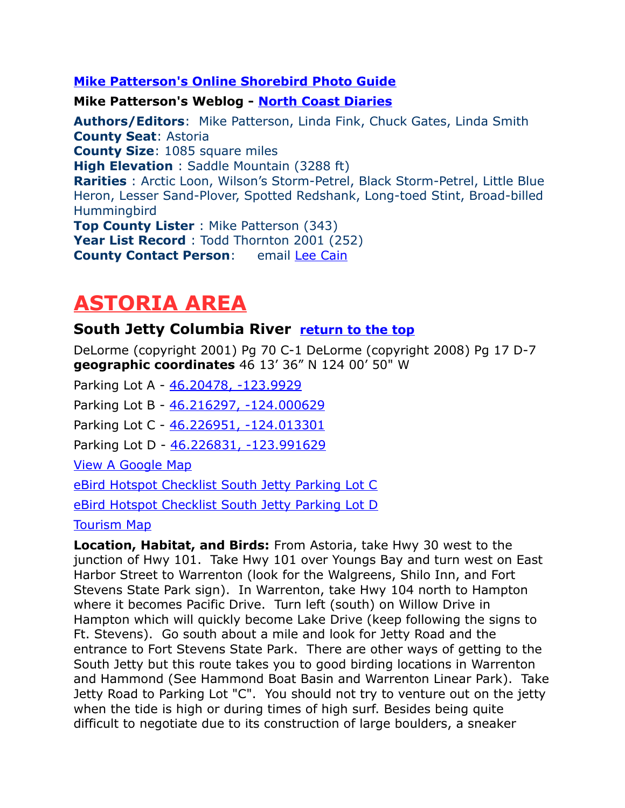#### **[Mike Patterson's Online Shorebird Photo Guide](http://home.pacifier.com/~neawanna/shore_photo/shorebird.html)**

**Mike Patterson's Weblog - [North Coast Diaries](http://www.surfbirds.com/blog/northcoastdiaries/)**

<span id="page-1-2"></span>**Authors/Editors**: Mike Patterson, Linda Fink, Chuck Gates, Linda Smith **County Seat**: Astoria **County Size**: 1085 square miles **High Elevation** : Saddle Mountain (3288 ft) **Rarities** : Arctic Loon, Wilson's Storm-Petrel, Black Storm-Petrel, Little Blue Heron, Lesser Sand-Plover, Spotted Redshank, Long-toed Stint, Broad-billed Hummingbird **Top County Lister** : Mike Patterson (343) **Year List Record** : Todd Thornton 2001 (252) **County Contact Person:** email [Lee Cain](mailto:LCain@astoria.k12.or.us)

# <span id="page-1-1"></span>**ASTORIA AREA**

### <span id="page-1-0"></span>**South Jetty Columbia River [return to the top](#page-0-0)**

DeLorme (copyright 2001) Pg 70 C-1 DeLorme (copyright 2008) Pg 17 D-7 **geographic coordinates** 46 13' 36" N 124 00' 50" W

Parking Lot A - [46.20478, -123.9929](https://www.google.com/maps/place/46%C2%B012)

Parking Lot B - [46.216297, -124.000629](https://www.google.com/maps/place/46%C2%B012)

Parking Lot C - [46.226951, -124.013301](https://www.google.com/maps/place/46%C2%B013)

Parking Lot D - [46.226831, -123.991629](https://www.google.com/maps/place/46%C2%B013)

[View A Google Map](http://maps.google.com/maps/ms?hl=en&ie=UTF8&msa=0&spn=0.045372,0.132179&z=14&msid=108036481085398338899.00046b3eafad570440fc0) 

[eBird Hotspot Checklist South Jetty Parking Lot C](http://ebird.org/ebird/hotspot/L2324418)

[eBird Hotspot Checklist South Jetty Parking Lot D](http://ebird.org/ebird/hotspot/L1303189)

[Tourism Map](http://www.paulnoll.com/Oregon/Tourism/Coast-Astoria-Lincoln/Columbia-Jetty-map.html)

**Location, Habitat, and Birds:** From Astoria, take Hwy 30 west to the junction of Hwy 101. Take Hwy 101 over Youngs Bay and turn west on East Harbor Street to Warrenton (look for the Walgreens, Shilo Inn, and Fort Stevens State Park sign). In Warrenton, take Hwy 104 north to Hampton where it becomes Pacific Drive. Turn left (south) on Willow Drive in Hampton which will quickly become Lake Drive (keep following the signs to Ft. Stevens). Go south about a mile and look for Jetty Road and the entrance to Fort Stevens State Park. There are other ways of getting to the South Jetty but this route takes you to good birding locations in Warrenton and Hammond (See Hammond Boat Basin and Warrenton Linear Park). Take Jetty Road to Parking Lot "C". You should not try to venture out on the jetty when the tide is high or during times of high surf. Besides being quite difficult to negotiate due to its construction of large boulders, a sneaker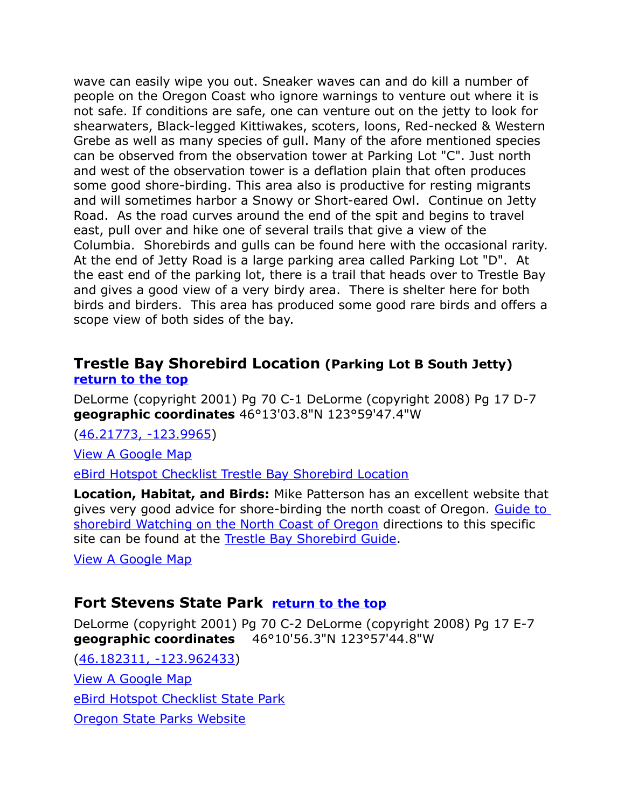wave can easily wipe you out. Sneaker waves can and do kill a number of people on the Oregon Coast who ignore warnings to venture out where it is not safe. If conditions are safe, one can venture out on the jetty to look for shearwaters, Black-legged Kittiwakes, scoters, loons, Red-necked & Western Grebe as well as many species of gull. Many of the afore mentioned species can be observed from the observation tower at Parking Lot "C". Just north and west of the observation tower is a deflation plain that often produces some good shore-birding. This area also is productive for resting migrants and will sometimes harbor a Snowy or Short-eared Owl. Continue on Jetty Road. As the road curves around the end of the spit and begins to travel east, pull over and hike one of several trails that give a view of the Columbia. Shorebirds and gulls can be found here with the occasional rarity. At the end of Jetty Road is a large parking area called Parking Lot "D". At the east end of the parking lot, there is a trail that heads over to Trestle Bay and gives a good view of a very birdy area. There is shelter here for both birds and birders. This area has produced some good rare birds and offers a scope view of both sides of the bay.

### <span id="page-2-1"></span>**Trestle Bay Shorebird Location (Parking Lot B South Jetty) [return to the top](#page-0-0)**

DeLorme (copyright 2001) Pg 70 C-1 DeLorme (copyright 2008) Pg 17 D-7 **geographic coordinates** 46°13'03.8"N 123°59'47.4"W

[\(46.21773, -123.9965\)](https://www.google.com/maps/place/46%C2%B013)

[View A Google Map](http://maps.google.com/maps/ms?hl=en&ie=UTF8&msa=0&%20z=10&msid=108036481085398338899.00046f656c3705a873949) 

[eBird Hotspot Checklist Trestle Bay Shorebird Location](http://ebird.org/ebird/hotspot/L1774994)

**Location, Habitat, and Birds:** Mike Patterson has an excellent website that gives very good advice for shore-birding the north coast of Oregon. Guide to [shorebird Watching on the North Coast of Oregon](http://www.pacifier.com/~mpatters/archive/shore_guide.html) directions to this specific site can be found at the [Trestle Bay Shorebird Guide.](http://www.pacifier.com/~mpatters/archive/shore_guide.html#sites)

[View A Google Map](http://maps.google.com/maps/ms?hl=en&ie=UTF8&msa=0&ll=46.149394,-123.331146&spn=0.725904,2.113495&z=10&msid=108036481085398338899.00046f656c3705a873949)

### <span id="page-2-0"></span>**Fort Stevens State Park [return to the top](#page-0-0)**

DeLorme (copyright 2001) Pg 70 C-2 DeLorme (copyright 2008) Pg 17 E-7 **geographic coordinates** 46°10'56.3"N 123°57'44.8"W

[\(46.182311, -123.962433\)](https://www.google.com/maps/place/46%C2%B010) [View A Google Map](http://maps.google.com/maps/ms?hl=en&ie=UTF8&msa=0&msid=108036481085398338899.00046b3cf49f7291051aa&ll=46.148919,-123.786736&spn=0.181717,0.528717&z=11) [eBird Hotspot Checklist State Park](http://ebird.org/ebird/hotspot/L163490) [Oregon State Parks Website](http://www.oregonstateparks.org/park_179.php)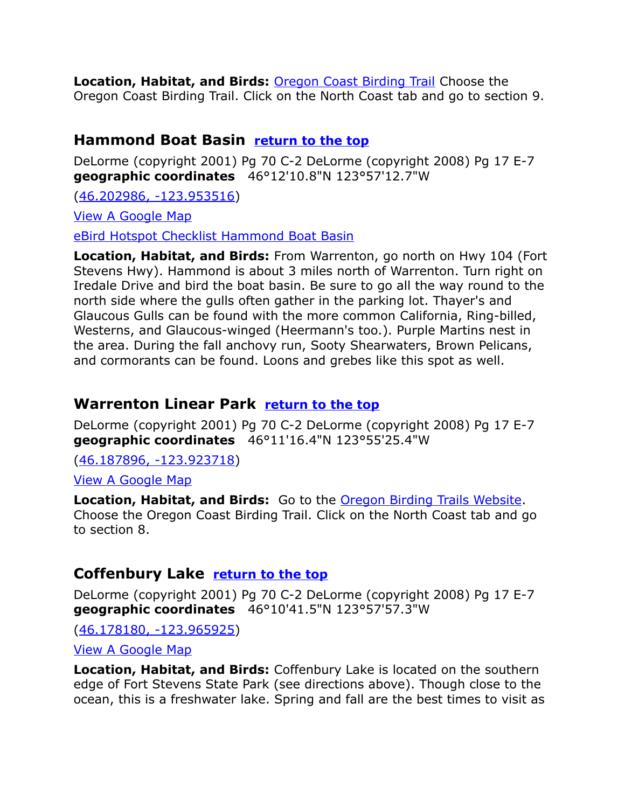**Location, Habitat, and Birds:** [Oregon Coast Birding Trail](http://www.oregonbirdingtrails.org/) Choose the Oregon Coast Birding Trail. Click on the North Coast tab and go to section 9.

### <span id="page-3-0"></span>**Hammond Boat Basin [return to the top](#page-0-0)**

DeLorme (copyright 2001) Pg 70 C-2 DeLorme (copyright 2008) Pg 17 E-7 **geographic coordinates** 46°12'10.8"N 123°57'12.7"W

[\(46.202986, -123.953516\)](https://www.google.com/maps/place/46%C2%B012)

[View A Google Map](http://maps.google.com/maps/ms?hl=en&ie=UTF8&msa=0&ll=46.192071,-123.908272&spn=0.094471,0.264187&z=13&msid=108036481085398338899.000479f64f368a76d5623)

[eBird Hotspot Checklist Hammond Boat Basin](http://ebird.org/ebird/hotspot/L1275985)

**Location, Habitat, and Birds:** From Warrenton, go north on Hwy 104 (Fort Stevens Hwy). Hammond is about 3 miles north of Warrenton. Turn right on Iredale Drive and bird the boat basin. Be sure to go all the way round to the north side where the gulls often gather in the parking lot. Thayer's and Glaucous Gulls can be found with the more common California, Ring-billed, Westerns, and Glaucous-winged (Heermann's too.). Purple Martins nest in the area. During the fall anchovy run, Sooty Shearwaters, Brown Pelicans, and cormorants can be found. Loons and grebes like this spot as well.

# <span id="page-3-2"></span>**Warrenton Linear Park [return to the top](#page-0-0)**

DeLorme (copyright 2001) Pg 70 C-2 DeLorme (copyright 2008) Pg 17 E-7 **geographic coordinates** 46°11'16.4"N 123°55'25.4"W

[\(46.187896, -123.923718\)](https://www.google.com/maps/place/46%C2%B011)

[View A Google Map](http://maps.google.com/maps/ms?hl=en&ie=UTF8&msa=0&msid=108036481085398338899.00046b3cf49f7291051aa&ll=46.148919,-123.786736&spn=0.181717,0.528717&z=11)

**Location, Habitat, and Birds:** Go to the [Oregon Birding Trails Website.](http://www.oregonbirdingtrails.org/) Choose the Oregon Coast Birding Trail. Click on the North Coast tab and go to section 8.

# <span id="page-3-1"></span>**Coffenbury Lake [return to the top](#page-0-0)**

DeLorme (copyright 2001) Pg 70 C-2 DeLorme (copyright 2008) Pg 17 E-7 **geographic coordinates** 46°10'41.5"N 123°57'57.3"W

[\(46.178180, -123.965925\)](https://www.google.com/maps/place/46%C2%B010)

[View A Google Map](http://maps.google.com/maps/ms?hl=en&ie=UTF8&msa=0&ll=46.168894,-123.782616&spn=0.188784,0.528374&z=12&msid=108036481085398338899.000479841211a1eec324d)

**Location, Habitat, and Birds:** Coffenbury Lake is located on the southern edge of Fort Stevens State Park (see directions above). Though close to the ocean, this is a freshwater lake. Spring and fall are the best times to visit as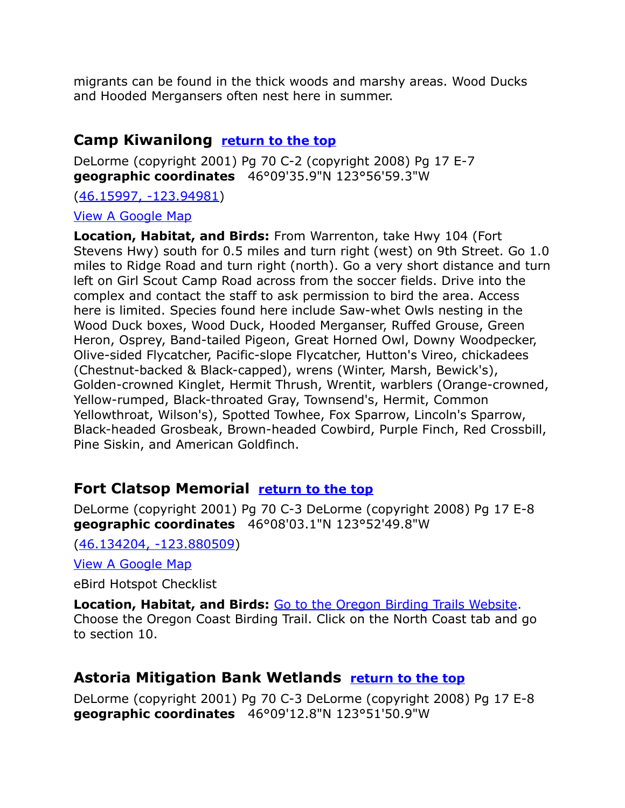migrants can be found in the thick woods and marshy areas. Wood Ducks and Hooded Mergansers often nest here in summer.

### <span id="page-4-2"></span>**Camp Kiwanilong [return to the top](#page-0-0)**

DeLorme (copyright 2001) Pg 70 C-2 (copyright 2008) Pg 17 E-7 **geographic coordinates** 46°09'35.9"N 123°56'59.3"W

[\(46.15997, -123.94981\)](https://www.google.com/maps/place/46%C2%B009)

[View A Google Map](http://maps.google.com/maps/ms?hl=en&ie=UTF8&msa=0&ll=46.168894,-123.782616&spn=0.188784,0.528374&z=11&msid=108036481085398338899.000479841211a1eec324d)

**Location, Habitat, and Birds:** From Warrenton, take Hwy 104 (Fort Stevens Hwy) south for 0.5 miles and turn right (west) on 9th Street. Go 1.0 miles to Ridge Road and turn right (north). Go a very short distance and turn left on Girl Scout Camp Road across from the soccer fields. Drive into the complex and contact the staff to ask permission to bird the area. Access here is limited. Species found here include Saw-whet Owls nesting in the Wood Duck boxes, Wood Duck, Hooded Merganser, Ruffed Grouse, Green Heron, Osprey, Band-tailed Pigeon, Great Horned Owl, Downy Woodpecker, Olive-sided Flycatcher, Pacific-slope Flycatcher, Hutton's Vireo, chickadees (Chestnut-backed & Black-capped), wrens (Winter, Marsh, Bewick's), Golden-crowned Kinglet, Hermit Thrush, Wrentit, warblers (Orange-crowned, Yellow-rumped, Black-throated Gray, Townsend's, Hermit, Common Yellowthroat, Wilson's), Spotted Towhee, Fox Sparrow, Lincoln's Sparrow, Black-headed Grosbeak, Brown-headed Cowbird, Purple Finch, Red Crossbill, Pine Siskin, and American Goldfinch.

# <span id="page-4-1"></span>**Fort Clatsop Memorial [return to the top](#page-0-0)**

DeLorme (copyright 2001) Pg 70 C-3 DeLorme (copyright 2008) Pg 17 E-8 **geographic coordinates** 46°08'03.1"N 123°52'49.8"W

[\(46.134204, -123.880509\)](https://www.google.com/maps/place/46%C2%B008)

[View A Google Map](http://maps.google.com/maps/ms?hl=en&ie=UTF8&msa=0&msid=108036481085398338899.00046b3cf49f7291051aa&ll=46.148919,-123.786736&spn=0.181717,0.528717&z=11)

eBird Hotspot Checklist

**Location, Habitat, and Birds:** [Go to the Oregon Birding Trails Website.](http://www.oregonbirdingtrails.org/) Choose the Oregon Coast Birding Trail. Click on the North Coast tab and go to section 10.

# <span id="page-4-0"></span>**Astoria Mitigation Bank Wetlands [return to the top](#page-0-0)**

DeLorme (copyright 2001) Pg 70 C-3 DeLorme (copyright 2008) Pg 17 E-8 **geographic coordinates** 46°09'12.8"N 123°51'50.9"W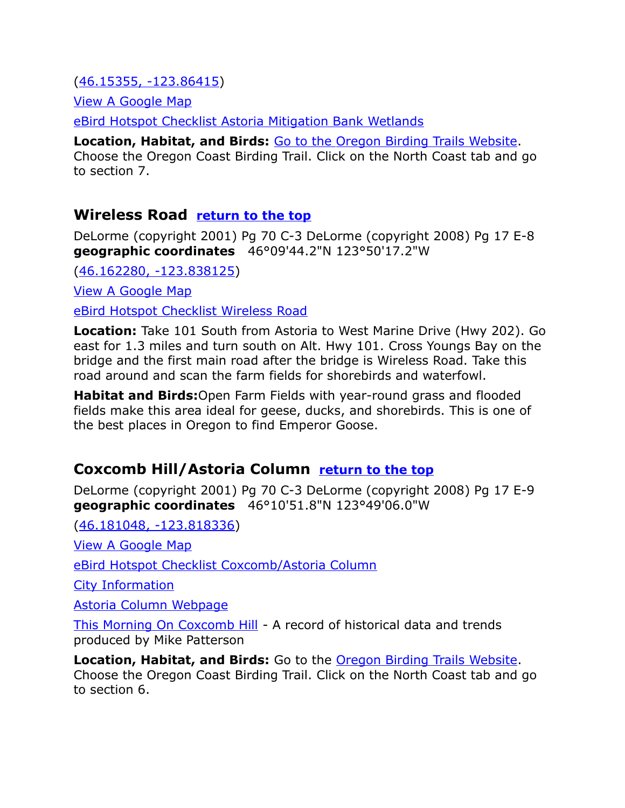[\(46.15355, -123.86415\)](https://www.google.com/maps/place/46%C2%B009)

[View A Google Map](http://maps.google.com/maps/ms?hl=en&ie=UTF8&msa=0&msid=108036481085398338899.00046b3cf49f7291051aa&ll=46.148919,-123.786736&spn=0.181717,0.528717&z=11)

[eBird Hotspot Checklist Astoria Mitigation Bank Wetlands](http://ebird.org/ebird/hotspot/L657107)

**Location, Habitat, and Birds:** [Go to the Oregon Birding Trails Website.](http://www.oregonbirdingtrails.org/) Choose the Oregon Coast Birding Trail. Click on the North Coast tab and go to section 7.

### <span id="page-5-0"></span>**Wireless Road [return to the top](#page-0-0)**

DeLorme (copyright 2001) Pg 70 C-3 DeLorme (copyright 2008) Pg 17 E-8 **geographic coordinates** 46°09'44.2"N 123°50'17.2"W

[\(46.162280, -123.838125\)](https://www.google.com/maps/place/46%C2%B009)

[View A Google Map](http://maps.google.com/maps/ms?hl=en&ie=UTF8&msa=0&msid=108036481085398338899.00046b3cf49f7291051aa&ll=46.148919,-123.786736&spn=0.181717,0.528717&z=11)

[eBird Hotspot Checklist Wireless Road](http://ebird.org/ebird/hotspot/L1296120)

**Location:** Take 101 South from Astoria to West Marine Drive (Hwy 202). Go east for 1.3 miles and turn south on Alt. Hwy 101. Cross Youngs Bay on the bridge and the first main road after the bridge is Wireless Road. Take this road around and scan the farm fields for shorebirds and waterfowl.

**Habitat and Birds:**Open Farm Fields with year-round grass and flooded fields make this area ideal for geese, ducks, and shorebirds. This is one of the best places in Oregon to find Emperor Goose.

# <span id="page-5-1"></span>**Coxcomb Hill/Astoria Column [return to the top](#page-0-0)**

DeLorme (copyright 2001) Pg 70 C-3 DeLorme (copyright 2008) Pg 17 E-9 **geographic coordinates** 46°10'51.8"N 123°49'06.0"W

[\(46.181048, -123.818336\)](https://www.google.com/maps/place/46%C2%B010)

[View A Google Map](http://maps.google.com/maps/ms?hl=en&ie=UTF8&msa=0&msid=108036481085398338899.00046b3cf49f7291051aa&ll=46.148919,-123.786736&spn=0.181717,0.528717&z=11)

[eBird Hotspot Checklist Coxcomb/Astoria Column](http://ebird.org/ebird/hotspot/L1275971)

[City Information](http://www.citytowninfo.com/places/oregon/astoria)

[Astoria Column Webpage](http://www.astoriacolumn.org/)

[This Morning On Coxcomb Hill](http://home.pacifier.com/~neawanna/neotrops/coxcomb.html) - A record of historical data and trends produced by Mike Patterson

**Location, Habitat, and Birds:** Go to the [Oregon Birding Trails Website.](http://www.oregonbirdingtrails.org/) Choose the Oregon Coast Birding Trail. Click on the North Coast tab and go to section 6.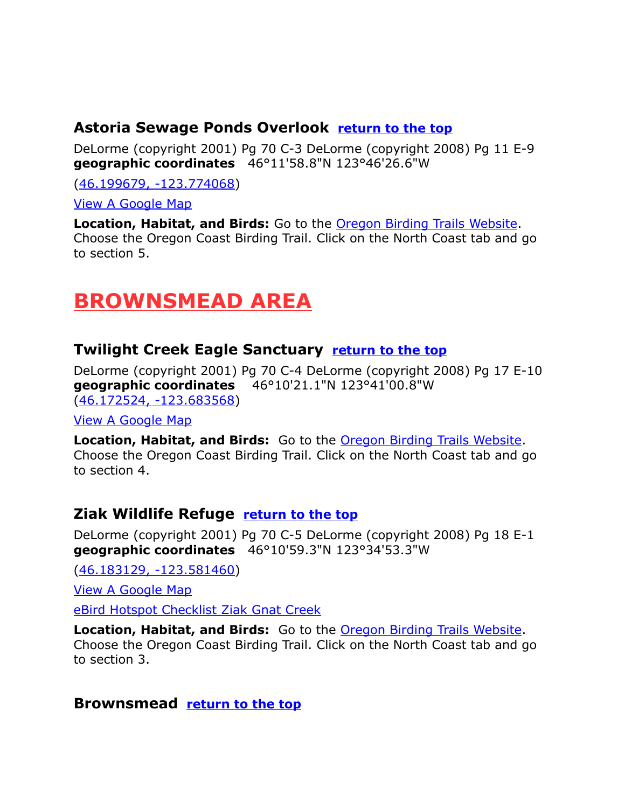## <span id="page-6-4"></span>**Astoria Sewage Ponds Overlook [return to the top](#page-0-0)**

DeLorme (copyright 2001) Pg 70 C-3 DeLorme (copyright 2008) Pg 11 E-9 **geographic coordinates** 46°11'58.8"N 123°46'26.6"W

[\(46.199679, -123.774068\)](https://www.google.com/maps/place/46%C2%B011)

[View A Google Map](http://maps.google.com/maps/ms?hl=en&ie=UTF8&msa=0&msid=108036481085398338899.00046b3cf49f7291051aa&ll=46.148919,-123.786736&spn=0.181717,0.528717&z=12)

**Location, Habitat, and Birds:** Go to the [Oregon Birding Trails Website.](http://www.oregonbirdingtrails.org/) Choose the Oregon Coast Birding Trail. Click on the North Coast tab and go to section 5.

# <span id="page-6-3"></span>**BROWNSMEAD AREA**

# <span id="page-6-2"></span>**Twilight Creek Eagle Sanctuary [return to the top](#page-0-0)**

DeLorme (copyright 2001) Pg 70 C-4 DeLorme (copyright 2008) Pg 17 E-10 **geographic coordinates** 46°10'21.1"N 123°41'00.8"W [\(46.172524, -123.683568\)](https://www.google.com/maps/place/46%C2%B010)

[View A Google Map](http://maps.google.com/maps/ms?hl=en&ie=UTF8&msa=0&msid=108036481085398338899.00046b3cf49f7291051aa&ll=46.148919,-123.786736&spn=0.181717,0.528717&z=11)

**Location, Habitat, and Birds:** Go to the [Oregon Birding Trails Website.](http://www.oregonbirdingtrails.org/) Choose the Oregon Coast Birding Trail. Click on the North Coast tab and go to section 4.

### <span id="page-6-1"></span>**Ziak Wildlife Refuge [return to the top](#page-0-0)**

DeLorme (copyright 2001) Pg 70 C-5 DeLorme (copyright 2008) Pg 18 E-1 **geographic coordinates** 46°10'59.3"N 123°34'53.3"W

[\(46.183129, -123.581460\)](https://www.google.com/maps/place/46%C2%B010)

[View A Google Map](http://maps.google.com/maps/ms?hl=en&ie=UTF8&msa=0&ll=46.184228,-123.519287&spn=0.0908,0.264359&z=13&msid=108036481085398338899.00046b3c9597505626f69)

[eBird Hotspot Checklist Ziak Gnat Creek](http://ebird.org/ebird/hotspot/L900870)

**Location, Habitat, and Birds:** Go to the [Oregon Birding Trails Website.](http://www.oregonbirdingtrails.org/) Choose the Oregon Coast Birding Trail. Click on the North Coast tab and go to section 3.

### <span id="page-6-0"></span>**Brownsmead [return to the top](#page-0-0)**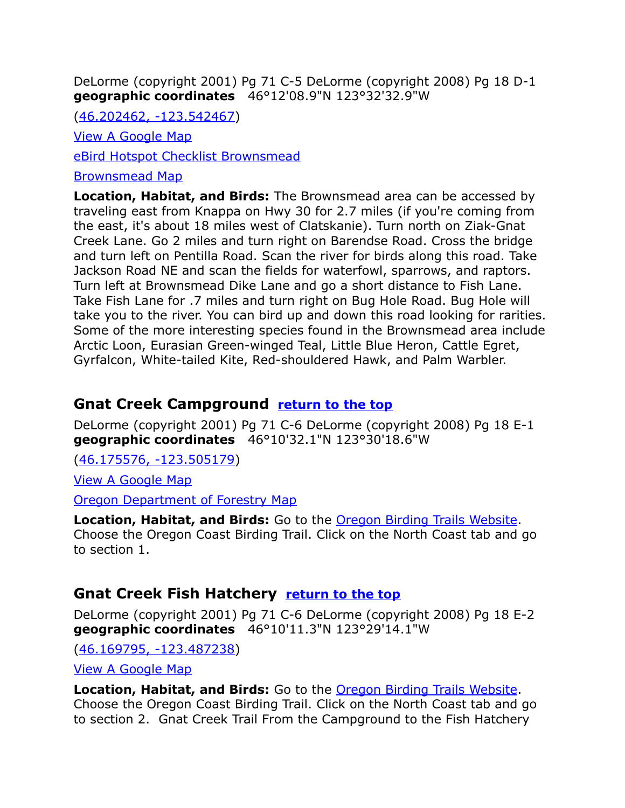DeLorme (copyright 2001) Pg 71 C-5 DeLorme (copyright 2008) Pg 18 D-1 **geographic coordinates** 46°12'08.9"N 123°32'32.9"W

[\(46.202462, -123.542467\)](https://www.google.com/maps/place/46%C2%B012)

[View A Google Map](http://maps.google.com/maps/ms?hl=en&ie=UTF8&msa=0&ll=46.196349,-123.485985&spn=0.102068,0.2635&z=13&msid=108036481085398338899.00047c63fd84e4716cc29)

[eBird Hotspot Checklist Brownsmead](http://ebird.org/ebird/hotspot/L485943)

[Brownsmead Map](http://home.pacifier.com/~mpatters/bird/brownsmead/brwnsmd.html)

**Location, Habitat, and Birds:** The Brownsmead area can be accessed by traveling east from Knappa on Hwy 30 for 2.7 miles (if you're coming from the east, it's about 18 miles west of Clatskanie). Turn north on Ziak-Gnat Creek Lane. Go 2 miles and turn right on Barendse Road. Cross the bridge and turn left on Pentilla Road. Scan the river for birds along this road. Take Jackson Road NE and scan the fields for waterfowl, sparrows, and raptors. Turn left at Brownsmead Dike Lane and go a short distance to Fish Lane. Take Fish Lane for .7 miles and turn right on Bug Hole Road. Bug Hole will take you to the river. You can bird up and down this road looking for rarities. Some of the more interesting species found in the Brownsmead area include Arctic Loon, Eurasian Green-winged Teal, Little Blue Heron, Cattle Egret, Gyrfalcon, White-tailed Kite, Red-shouldered Hawk, and Palm Warbler.

# <span id="page-7-1"></span>**Gnat Creek Campground [return to the top](#page-0-0)**

DeLorme (copyright 2001) Pg 71 C-6 DeLorme (copyright 2008) Pg 18 E-1 **geographic coordinates** 46°10'32.1"N 123°30'18.6"W

[\(46.175576, -123.505179\)](https://www.google.com/maps/place/46%C2%B010)

[View A Google Map](http://maps.google.com/maps/ms?hl=en&ie=UTF8&msa=0&ll=46.184228,-123.519287&spn=0.0908,0.264359&z=13&msid=108036481085398338899.00046b3c9597505626f69)

[Oregon Department of Forestry Map](http://www.oregon.gov/ODF/FIELD/ASTORIA/State_Forest_Management/Support/images/Gnat%20Creek%20Campground%20Map.pdf)

**Location, Habitat, and Birds:** Go to the [Oregon Birding Trails Website.](http://www.oregonbirdingtrails.org/) Choose the Oregon Coast Birding Trail. Click on the North Coast tab and go to section 1.

# <span id="page-7-0"></span>**Gnat Creek Fish Hatchery [return to the top](#page-0-0)**

DeLorme (copyright 2001) Pg 71 C-6 DeLorme (copyright 2008) Pg 18 E-2 **geographic coordinates** 46°10'11.3"N 123°29'14.1"W

[\(46.169795, -123.487238\)](https://www.google.com/maps/place/46%C2%B010)

[View A Google Map](http://maps.google.com/maps/ms?hl=en&ie=UTF8&msa=0&ll=46.184228,-123.519287&spn=0.0908,0.264359&z=13&msid=108036481085398338899.00046b3c9597505626f69)

**Location, Habitat, and Birds:** Go to the [Oregon Birding Trails Website.](http://www.oregonbirdingtrails.org/) Choose the Oregon Coast Birding Trail. Click on the North Coast tab and go to section 2. Gnat Creek Trail From the Campground to the Fish Hatchery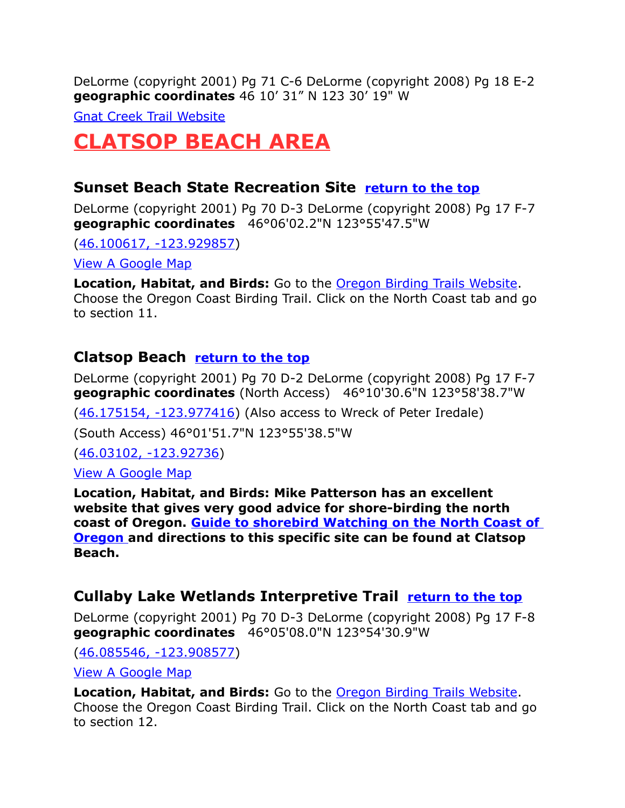DeLorme (copyright 2001) Pg 71 C-6 DeLorme (copyright 2008) Pg 18 E-2 **geographic coordinates** 46 10' 31" N 123 30' 19" W

[Gnat Creek Trail Website](http://www.oregon.gov/ODF/FIELD/ASTORIA/State_Forest_Management/Support/images/GnatCrkTrailMap.pdf)

# <span id="page-8-3"></span>**CLATSOP BEACH AREA**

## <span id="page-8-2"></span>**Sunset Beach State Recreation Site [return to the top](#page-0-0)**

DeLorme (copyright 2001) Pg 70 D-3 DeLorme (copyright 2008) Pg 17 F-7 **geographic coordinates** 46°06'02.2"N 123°55'47.5"W

[\(46.100617, -123.929857\)](https://www.google.com/maps/place/46%C2%B006)

[View A Google Map](http://maps.google.com/maps/ms?hl=en&ie=UTF8&msa=0&msid=108036481085398338899.00046b3cf49f7291051aa&ll=46.148919,-123.786736&spn=0.181717,0.528717&z=11)

**Location, Habitat, and Birds:** Go to the [Oregon Birding Trails Website.](http://www.oregonbirdingtrails.org/) Choose the Oregon Coast Birding Trail. Click on the North Coast tab and go to section 11.

# <span id="page-8-1"></span>**Clatsop Beach [return to the top](#page-0-0)**

DeLorme (copyright 2001) Pg 70 D-2 DeLorme (copyright 2008) Pg 17 F-7 **geographic coordinates** (North Access) 46°10'30.6"N 123°58'38.7"W

[\(46.175154, -123.977416\)](https://www.google.com/maps/place/46%C2%B010) (Also access to Wreck of Peter Iredale)

(South Access) 46°01'51.7"N 123°55'38.5"W

[\(46.03102, -123.92736\)](https://www.google.com/maps/place/46%C2%B001)

[View A Google Map](http://maps.google.com/maps/ms?hl=en&ie=UTF8&msa=0&%20z=10&msid=108036481085398338899.00046f656c3705a873949)

**Location, Habitat, and Birds: Mike Patterson has an excellent website that gives very good advice for shore-birding the north coast of Oregon. [Guide to shorebird Watching on the North Coast of](http://www.pacifier.com/~mpatters/archive/shore_guide.html)   [Oregon](http://www.pacifier.com/~mpatters/archive/shore_guide.html) and directions to this specific site can be found at Clatsop Beach.** 

# <span id="page-8-0"></span>**Cullaby Lake Wetlands Interpretive Trail [return to the top](#page-0-0)**

DeLorme (copyright 2001) Pg 70 D-3 DeLorme (copyright 2008) Pg 17 F-8 **geographic coordinates** 46°05'08.0"N 123°54'30.9"W

[\(46.085546, -123.908577\)](https://www.google.com/maps/place/46%C2%B005)

[View A Google Map](http://maps.google.com/maps/ms?hl=en&ie=UTF8&msa=0&msid=108036481085398338899.00046b3cf49f7291051aa&ll=46.148919,-123.786736&spn=0.181717,0.528717&z=11)

**Location, Habitat, and Birds:** Go to the [Oregon Birding Trails Website.](http://www.oregonbirdingtrails.org/) Choose the Oregon Coast Birding Trail. Click on the North Coast tab and go to section 12.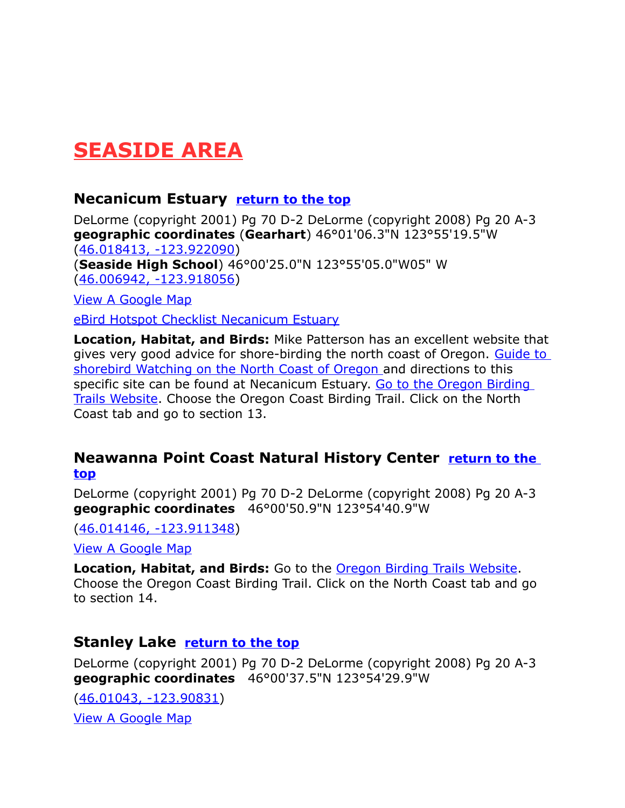# <span id="page-9-3"></span>**SEASIDE AREA**

### <span id="page-9-2"></span>**Necanicum Estuary [return to the top](#page-0-0)**

DeLorme (copyright 2001) Pg 70 D-2 DeLorme (copyright 2008) Pg 20 A-3 **geographic coordinates** (**Gearhart**) 46°01'06.3"N 123°55'19.5"W [\(46.018413, -123.922090\)](https://www.google.com/maps/place/46%C2%B001) (**Seaside High School**) 46°00'25.0"N 123°55'05.0"W05" W [\(46.006942, -123.918056\)](https://www.google.com/maps/place/46%C2%B000)

[View A Google Map](http://maps.google.com/maps/ms?hl=en&ie=UTF8&msa=0&%20z=10&msid=108036481085398338899.00046f656c3705a873949)

[eBird Hotspot Checklist Necanicum Estuary](http://ebird.org/ebird/hotspot/L164411)

**Location, Habitat, and Birds:** Mike Patterson has an excellent website that gives very good advice for shore-birding the north coast of Oregon. [Guide to](http://www.pacifier.com/~mpatters/archive/shore_guide.html)   [shorebird Watching on the North Coast of Oregon](http://www.pacifier.com/~mpatters/archive/shore_guide.html) and directions to this specific site can be found at Necanicum Estuary. Go to the Oregon Birding [Trails Website.](http://www.oregonbirdingtrails.org/) Choose the Oregon Coast Birding Trail. Click on the North Coast tab and go to section 13.

### <span id="page-9-1"></span>**Neawanna Point Coast Natural History Center [return to the](#page-0-0)  [top](#page-0-0)**

DeLorme (copyright 2001) Pg 70 D-2 DeLorme (copyright 2008) Pg 20 A-3 **geographic coordinates** 46°00'50.9"N 123°54'40.9"W

[\(46.014146, -123.911348\)](https://www.google.com/maps/place/46%C2%B000)

[View A Google Map](http://maps.google.com/maps/ms?hl=en&ie=UTF8&msa=0&msid=108036481085398338899.00046b3db7017efff5a4e&ll=45.862759,-123.624344&spn=0.761247,2.113495&z=10)

**Location, Habitat, and Birds:** Go to the [Oregon Birding Trails Website.](http://www.oregonbirdingtrails.org/) Choose the Oregon Coast Birding Trail. Click on the North Coast tab and go to section 14.

### <span id="page-9-0"></span>**Stanley Lake <b>[return to the top](#page-0-0)**

DeLorme (copyright 2001) Pg 70 D-2 DeLorme (copyright 2008) Pg 20 A-3 **geographic coordinates** 46°00'37.5"N 123°54'29.9"W

[\(46.01043, -123.90831\)](https://www.google.com/maps/place/46%C2%B000) [View A Google Map](http://maps.google.com/maps/ms?hl=en&ie=UTF8&msa=0&%20z=10&msid=108036481085398338899.00046f656c3705a873949)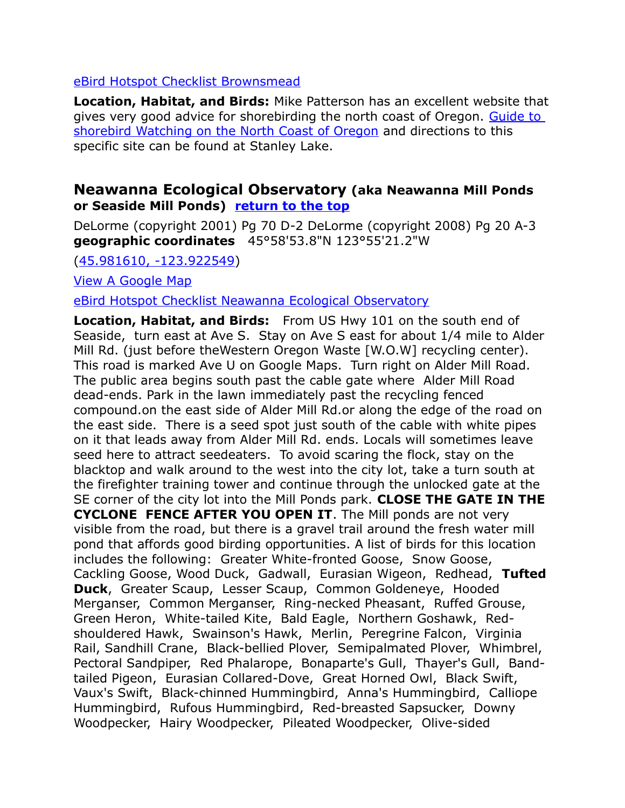#### [eBird Hotspot Checklist Brownsmead](http://ebird.org/ebird/hotspot/L485943)

**Location, Habitat, and Birds:** Mike Patterson has an excellent website that gives very good advice for shorebirding the north coast of Oregon. Guide to [shorebird Watching on the North Coast of Oregon](http://www.pacifier.com/~mpatters/archive/shore_guide.html) and directions to this specific site can be found at Stanley Lake.

#### <span id="page-10-0"></span>**Neawanna Ecological Observatory (aka Neawanna Mill Ponds or Seaside Mill Ponds) [return to the top](#page-0-0)**

DeLorme (copyright 2001) Pg 70 D-2 DeLorme (copyright 2008) Pg 20 A-3 **geographic coordinates** 45°58'53.8"N 123°55'21.2"W

[\(45.981610, -123.922549\)](https://www.google.com/maps/place/45%C2%B058)

[View A Google Map](http://maps.google.com/maps/ms?hl=en&ie=UTF8&msa=0&msid=108036481085398338899.00046b3db7017efff5a4e&ll=45.862759,-123.624344&spn=0.761247,2.113495&z=10)

[eBird Hotspot Checklist Neawanna Ecological Observatory](http://ebird.org/ebird/hotspot/L1035494)

**Location, Habitat, and Birds:** From US Hwy 101 on the south end of Seaside, turn east at Ave S. Stay on Ave S east for about 1/4 mile to Alder Mill Rd. (just before theWestern Oregon Waste [W.O.W] recycling center). This road is marked Ave U on Google Maps. Turn right on Alder Mill Road. The public area begins south past the cable gate where Alder Mill Road dead-ends. Park in the lawn immediately past the recycling fenced compound.on the east side of Alder Mill Rd.or along the edge of the road on the east side. There is a seed spot just south of the cable with white pipes on it that leads away from Alder Mill Rd. ends. Locals will sometimes leave seed here to attract seedeaters. To avoid scaring the flock, stay on the blacktop and walk around to the west into the city lot, take a turn south at the firefighter training tower and continue through the unlocked gate at the SE corner of the city lot into the Mill Ponds park. **CLOSE THE GATE IN THE CYCLONE FENCE AFTER YOU OPEN IT**. The Mill ponds are not very visible from the road, but there is a gravel trail around the fresh water mill pond that affords good birding opportunities. A list of birds for this location includes the following: Greater White-fronted Goose, Snow Goose, Cackling Goose, Wood Duck, Gadwall, Eurasian Wigeon, Redhead, **Tufted Duck**, Greater Scaup, Lesser Scaup, Common Goldeneye, Hooded Merganser, Common Merganser, Ring-necked Pheasant, Ruffed Grouse, Green Heron, White-tailed Kite, Bald Eagle, Northern Goshawk, Redshouldered Hawk, Swainson's Hawk, Merlin, Peregrine Falcon, Virginia Rail, Sandhill Crane, Black-bellied Plover, Semipalmated Plover, Whimbrel, Pectoral Sandpiper, Red Phalarope, Bonaparte's Gull, Thayer's Gull, Bandtailed Pigeon, Eurasian Collared-Dove, Great Horned Owl, Black Swift, Vaux's Swift, Black-chinned Hummingbird, Anna's Hummingbird, Calliope Hummingbird, Rufous Hummingbird, Red-breasted Sapsucker, Downy Woodpecker, Hairy Woodpecker, Pileated Woodpecker, Olive-sided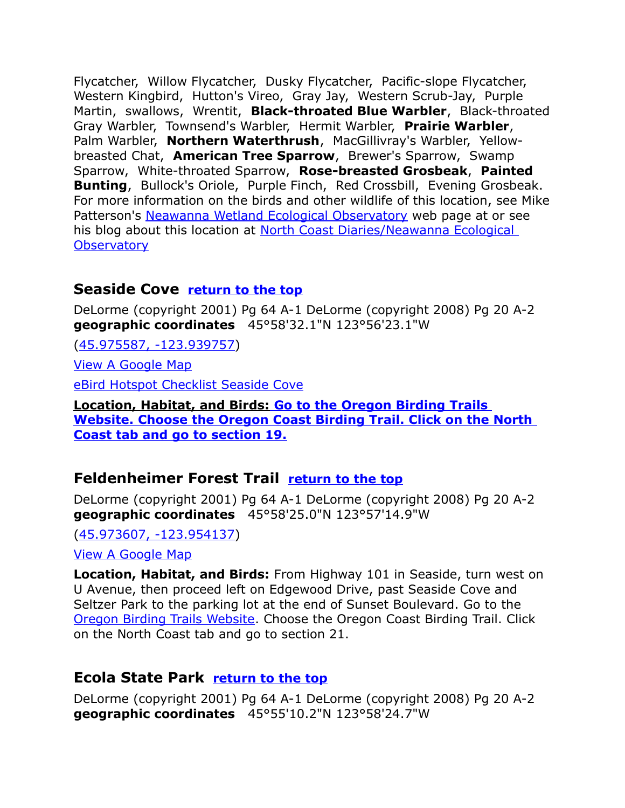Flycatcher, Willow Flycatcher, Dusky Flycatcher, Pacific-slope Flycatcher, Western Kingbird, Hutton's Vireo, Gray Jay, Western Scrub-Jay, Purple Martin, swallows, Wrentit, **Black-throated Blue Warbler**, Black-throated Gray Warbler, Townsend's Warbler, Hermit Warbler, **Prairie Warbler**, Palm Warbler, **Northern Waterthrush**, MacGillivray's Warbler, Yellowbreasted Chat, **American Tree Sparrow**, Brewer's Sparrow, Swamp Sparrow, White-throated Sparrow, **Rose-breasted Grosbeak**, **Painted Bunting**, Bullock's Oriole, Purple Finch, Red Crossbill, Evening Grosbeak. For more information on the birds and other wildlife of this location, see Mike Patterson's [Neawanna Wetland Ecological Observatory](http://home.pacifier.com/~neawanna/observatory/observatory.html) web page at or see his blog about this location at [North Coast Diaries/Neawanna Ecological](http://www.surfbirds.com/community-blogs/northcoastdiaries/?p=129)  **[Observatory](http://www.surfbirds.com/community-blogs/northcoastdiaries/?p=129)** 

### <span id="page-11-2"></span>**Seaside Cove [return to the top](#page-0-0)**

DeLorme (copyright 2001) Pg 64 A-1 DeLorme (copyright 2008) Pg 20 A-2 **geographic coordinates** 45°58'32.1"N 123°56'23.1"W

[\(45.975587, -123.939757\)](https://www.google.com/maps/place/45%C2%B058)

[View A Google Map](http://maps.google.com/maps/ms?hl=en&ie=UTF8&msa=0&msid=108036481085398338899.00046b3db7017efff5a4e&ll=45.862759,-123.624344&spn=0.761247,2.113495&z=10)

[eBird Hotspot Checklist Seaside Cove](http://ebird.org/ebird/hotspot/L1096408)

 **Location, Habitat, and Birds: Go to the [Oregon Birding Trails](http://www.oregonbirdingtrails.org/)   [Website.](http://www.oregonbirdingtrails.org/) Choose the Oregon Coast Birding Trail. Click on the North Coast tab and go to section 19.**

### <span id="page-11-1"></span>**Feldenheimer Forest Trail [return to the top](#page-0-0)**

DeLorme (copyright 2001) Pg 64 A-1 DeLorme (copyright 2008) Pg 20 A-2 **geographic coordinates** 45°58'25.0"N 123°57'14.9"W

[\(45.973607, -123.954137\)](https://www.google.com/maps/place/45%C2%B058)

[View A Google Map](http://maps.google.com/maps/ms?hl=en&ie=UTF8&msa=0&msid=108036481085398338899.00046b3db7017efff5a4e&ll=45.862759,-123.624344&spn=0.761247,2.113495&z=10)

**Location, Habitat, and Birds:** From Highway 101 in Seaside, turn west on U Avenue, then proceed left on Edgewood Drive, past Seaside Cove and Seltzer Park to the parking lot at the end of Sunset Boulevard. Go to the [Oregon Birding Trails Website.](http://www.oregonbirdingtrails.org/) Choose the Oregon Coast Birding Trail. Click on the North Coast tab and go to section 21.

### <span id="page-11-0"></span>**Ecola State Park [return to the top](#page-0-0)**

DeLorme (copyright 2001) Pg 64 A-1 DeLorme (copyright 2008) Pg 20 A-2 **geographic coordinates** 45°55'10.2"N 123°58'24.7"W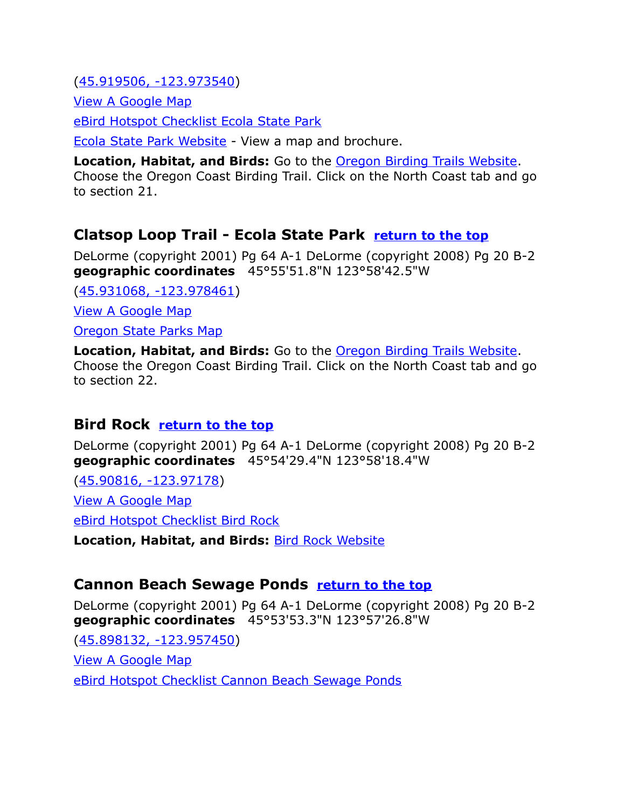[\(45.919506, -123.973540\)](https://www.google.com/maps/place/45%C2%B055)

[View A Google Map](http://maps.google.com/maps/ms?hl=en&ie=UTF8&msa=0&msid=108036481085398338899.00046b3db7017efff5a4e&ll=45.862759,-123.624344&spn=0.365319,1.057434&z=11)

[eBird Hotspot Checklist Ecola State Park](http://ebird.org/ebird/hotspot/L447385)

[Ecola State Park Website](http://www.oregonstateparks.org/park_188.php) - View a map and brochure.

**Location, Habitat, and Birds:** Go to the [Oregon Birding Trails Website.](http://www.oregonbirdingtrails.org/) Choose the Oregon Coast Birding Trail. Click on the North Coast tab and go to section 21.

# <span id="page-12-2"></span>**Clatsop Loop Trail - Ecola State Park [return to the top](#page-0-0)**

DeLorme (copyright 2001) Pg 64 A-1 DeLorme (copyright 2008) Pg 20 B-2 **geographic coordinates** 45°55'51.8"N 123°58'42.5"W

[\(45.931068, -123.978461\)](https://www.google.com/maps/place/45%C2%B055)

[View A Google Map](http://maps.google.com/maps/ms?hl=en&ie=UTF8&msa=0&msid=108036481085398338899.00046b3db7017efff5a4e&ll=45.862759,-123.624344&spn=0.761247,2.113495&z=10)

[Oregon State Parks Map](http://www.oregonstateparks.org/images/pdf/ecola-clatsop-map.pdf)

**Location, Habitat, and Birds:** Go to the [Oregon Birding Trails Website.](http://www.oregonbirdingtrails.org/) Choose the Oregon Coast Birding Trail. Click on the North Coast tab and go to section 22.

# <span id="page-12-1"></span>**Bird Rock [return to the top](#page-0-0)**

DeLorme (copyright 2001) Pg 64 A-1 DeLorme (copyright 2008) Pg 20 B-2 **geographic coordinates** 45°54'29.4"N 123°58'18.4"W

[\(45.90816, -123.97178\)](https://www.google.com/maps/place/45%C2%B054)

[View A Google Map](http://maps.google.com/maps/ms?hl=en&ie=UTF8&msa=0&ll=45.946375,-123.878746&spn=0.174268,0.306587&z=12&msid=108036481085398338899.00046dd855d8d913ed37f)

[eBird Hotspot Checklist Bird Rock](http://ebird.org/ebird/hotspot/L159576)

**Location, Habitat, and Birds:** [Bird Rock Website](http://www.audubonportland.org/issues/statewide/iba/iba-map/bird-rocks)

# <span id="page-12-0"></span>**Cannon Beach Sewage Ponds [return to the top](#page-0-0)**

DeLorme (copyright 2001) Pg 64 A-1 DeLorme (copyright 2008) Pg 20 B-2 **geographic coordinates** 45°53'53.3"N 123°57'26.8"W

[\(45.898132, -123.957450\)](https://www.google.com/maps/place/45%C2%B053) [View A Google Map](http://maps.google.com/maps/ms?hl=en&ie=UTF8&msa=0&msid=108036481085398338899.00046b3db7017efff5a4e&ll=45.862759,-123.624344&spn=0.761247,2.113495&z=10) [eBird Hotspot Checklist Cannon Beach Sewage Ponds](http://ebird.org/ebird/hotspot/L1145914)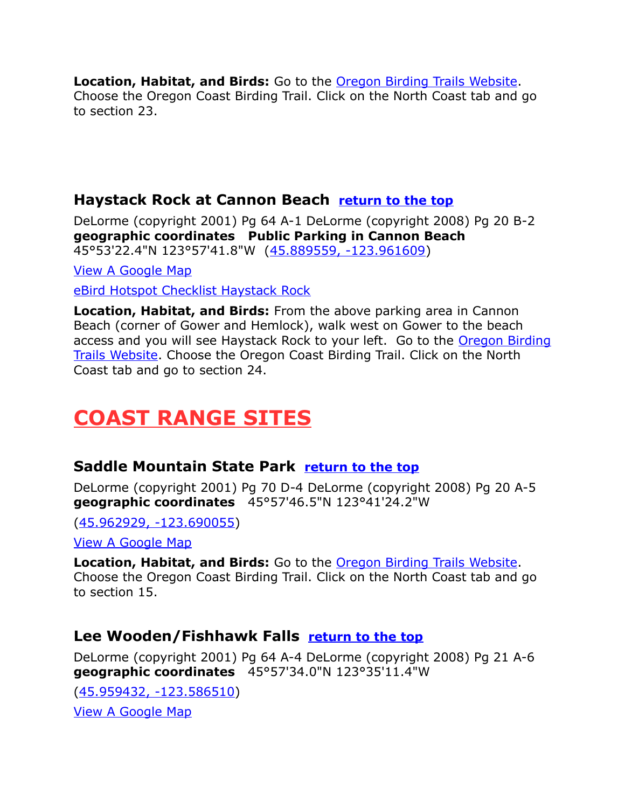**Location, Habitat, and Birds:** Go to the [Oregon Birding Trails Website.](http://www.oregonbirdingtrails.org/) Choose the Oregon Coast Birding Trail. Click on the North Coast tab and go to section 23.

# <span id="page-13-0"></span>**Haystack Rock at Cannon Beach [return to the top](#page-0-0)**

DeLorme (copyright 2001) Pg 64 A-1 DeLorme (copyright 2008) Pg 20 B-2 **geographic coordinates Public Parking in Cannon Beach** 45°53'22.4"N 123°57'41.8"W [\(45.889559, -123.961609\)](https://www.google.com/maps/place/45%C2%B053)

[View A Google Map](http://maps.google.com/maps/ms?hl=en&ie=UTF8&msa=0&msid=108036481085398338899.00046b3db7017efff5a4e&ll=45.862759,-123.624344&spn=0.761247,2.113495&z=10)

[eBird Hotspot Checklist Haystack Rock](http://ebird.org/ebird/hotspot/L548476)

**Location, Habitat, and Birds:** From the above parking area in Cannon Beach (corner of Gower and Hemlock), walk west on Gower to the beach access and you will see Haystack Rock to your left. Go to the [Oregon Birding](http://www.oregonbirdingtrails.org/) [Trails Website.](http://www.oregonbirdingtrails.org/) Choose the Oregon Coast Birding Trail. Click on the North Coast tab and go to section 24.

# <span id="page-13-3"></span>**COAST RANGE SITES**

# <span id="page-13-1"></span>**Saddle Mountain State Park [return to the top](#page-0-0)**

DeLorme (copyright 2001) Pg 70 D-4 DeLorme (copyright 2008) Pg 20 A-5 **geographic coordinates** 45°57'46.5"N 123°41'24.2"W

[\(45.962929, -123.690055\)](https://www.google.com/maps/place/45%C2%B057)

[View A Google Map](http://maps.google.com/maps/ms?hl=en&ie=UTF8&msa=0&msid=108036481085398338899.00046b3db7017efff5a4e&ll=45.862759,-123.624344&spn=0.761247,2.113495&z=10)

**Location, Habitat, and Birds:** Go to the [Oregon Birding Trails Website.](http://www.oregonbirdingtrails.org/) Choose the Oregon Coast Birding Trail. Click on the North Coast tab and go to section 15.

# <span id="page-13-2"></span>**Lee Wooden/Fishhawk Falls [return to the top](#page-0-0)**

DeLorme (copyright 2001) Pg 64 A-4 DeLorme (copyright 2008) Pg 21 A-6 **geographic coordinates** 45°57'34.0"N 123°35'11.4"W

[\(45.959432, -123.586510\)](https://www.google.com/maps/place/45%C2%B057) [View A Google Map](http://maps.google.com/maps/ms?hl=en&ie=UTF8&msa=0&msid=108036481085398338899.00046b3db7017efff5a4e&ll=45.862759,-123.624344&spn=0.761247,2.113495&z=10)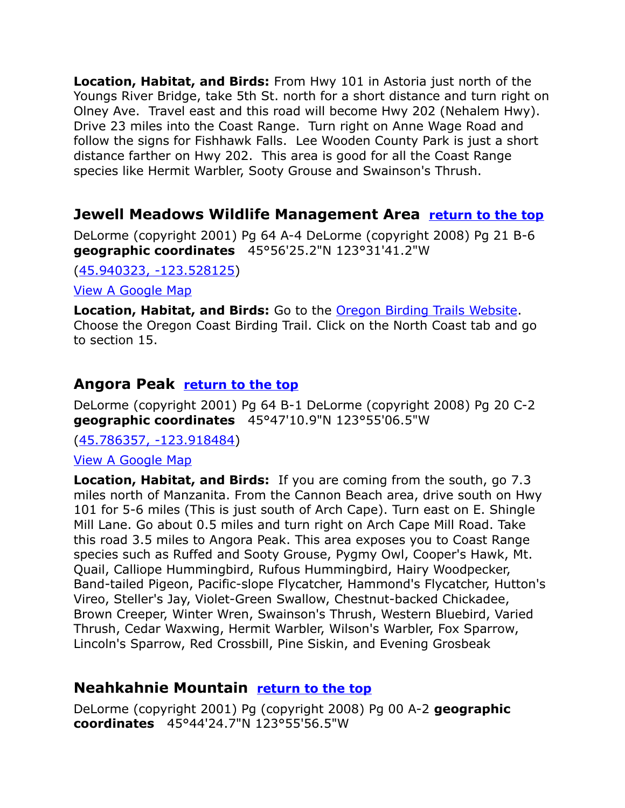**Location, Habitat, and Birds:** From Hwy 101 in Astoria just north of the Youngs River Bridge, take 5th St. north for a short distance and turn right on Olney Ave. Travel east and this road will become Hwy 202 (Nehalem Hwy). Drive 23 miles into the Coast Range. Turn right on Anne Wage Road and follow the signs for Fishhawk Falls. Lee Wooden County Park is just a short distance farther on Hwy 202. This area is good for all the Coast Range species like Hermit Warbler, Sooty Grouse and Swainson's Thrush.

### <span id="page-14-2"></span>**Jewell Meadows Wildlife Management Area [return to the top](#page-0-0)**

DeLorme (copyright 2001) Pg 64 A-4 DeLorme (copyright 2008) Pg 21 B-6 **geographic coordinates** 45°56'25.2"N 123°31'41.2"W

[\(45.940323, -123.528125\)](https://www.google.com/maps/place/45%C2%B056)

[View A Google Map](http://maps.google.com/maps/ms?hl=en&ie=UTF8&msa=0&msid=108036481085398338899.00046b3db7017efff5a4e&ll=45.862759,-123.624344&spn=0.761247,2.113495&z=10)

**Location, Habitat, and Birds:** Go to the [Oregon Birding Trails Website.](http://www.oregonbirdingtrails.org/) Choose the Oregon Coast Birding Trail. Click on the North Coast tab and go to section 15.

### <span id="page-14-1"></span>**Angora Peak [return to the top](#page-0-0)**

DeLorme (copyright 2001) Pg 64 B-1 DeLorme (copyright 2008) Pg 20 C-2 **geographic coordinates** 45°47'10.9"N 123°55'06.5"W

[\(45.786357, -123.918484\)](https://www.google.com/maps/place/45%C2%B047)

[View A Google Map](http://maps.google.com/maps/ms?hl=en&ie=UTF8&msa=0&ll=45.813726,-123.729057&spn=0.190238,0.528374&z=12&msid=108036481085398338899.000479f4ee122acc84227)

**Location, Habitat, and Birds:** If you are coming from the south, go 7.3 miles north of Manzanita. From the Cannon Beach area, drive south on Hwy 101 for 5-6 miles (This is just south of Arch Cape). Turn east on E. Shingle Mill Lane. Go about 0.5 miles and turn right on Arch Cape Mill Road. Take this road 3.5 miles to Angora Peak. This area exposes you to Coast Range species such as Ruffed and Sooty Grouse, Pygmy Owl, Cooper's Hawk, Mt. Quail, Calliope Hummingbird, Rufous Hummingbird, Hairy Woodpecker, Band-tailed Pigeon, Pacific-slope Flycatcher, Hammond's Flycatcher, Hutton's Vireo, Steller's Jay, Violet-Green Swallow, Chestnut-backed Chickadee, Brown Creeper, Winter Wren, Swainson's Thrush, Western Bluebird, Varied Thrush, Cedar Waxwing, Hermit Warbler, Wilson's Warbler, Fox Sparrow, Lincoln's Sparrow, Red Crossbill, Pine Siskin, and Evening Grosbeak

### <span id="page-14-0"></span>**Neahkahnie Mountain [return to the top](#page-0-0)**

DeLorme (copyright 2001) Pg (copyright 2008) Pg 00 A-2 **geographic coordinates** 45°44'24.7"N 123°55'56.5"W